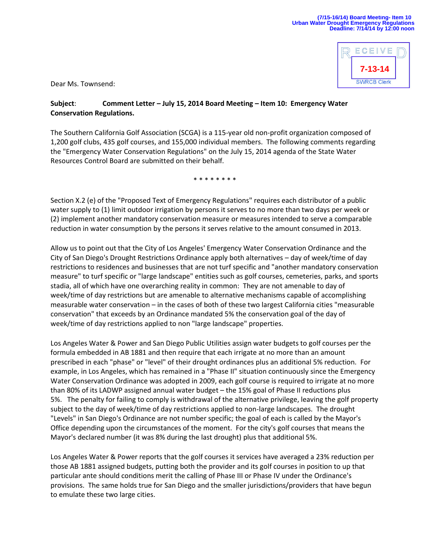

Dear Ms. Townsend:

## **Subject**: **Comment Letter – July 15, 2014 Board Meeting – Item 10: Emergency Water Conservation Regulations.**

The Southern California Golf Association (SCGA) is a 115-year old non-profit organization composed of 1,200 golf clubs, 435 golf courses, and 155,000 individual members. The following comments regarding the "Emergency Water Conservation Regulations" on the July 15, 2014 agenda of the State Water Resources Control Board are submitted on their behalf.

\* \* \* \* \* \* \*

Section X.2 (e) of the "Proposed Text of Emergency Regulations" requires each distributor of a public water supply to (1) limit outdoor irrigation by persons it serves to no more than two days per week or (2) implement another mandatory conservation measure or measures intended to serve a comparable reduction in water consumption by the persons it serves relative to the amount consumed in 2013.

Allow us to point out that the City of Los Angeles' Emergency Water Conservation Ordinance and the City of San Diego's Drought Restrictions Ordinance apply both alternatives – day of week/time of day restrictions to residences and businesses that are not turf specific and "another mandatory conservation measure" to turf specific or "large landscape" entities such as golf courses, cemeteries, parks, and sports stadia, all of which have one overarching reality in common: They are not amenable to day of week/time of day restrictions but are amenable to alternative mechanisms capable of accomplishing measurable water conservation – in the cases of both of these two largest California cities "measurable conservation" that exceeds by an Ordinance mandated 5% the conservation goal of the day of week/time of day restrictions applied to non "large landscape" properties.

Los Angeles Water & Power and San Diego Public Utilities assign water budgets to golf courses per the formula embedded in AB 1881 and then require that each irrigate at no more than an amount prescribed in each "phase" or "level" of their drought ordinances plus an additional 5% reduction. For example, in Los Angeles, which has remained in a "Phase II" situation continuously since the Emergency Water Conservation Ordinance was adopted in 2009, each golf course is required to irrigate at no more than 80% of its LADWP assigned annual water budget – the 15% goal of Phase II reductions plus 5%. The penalty for failing to comply is withdrawal of the alternative privilege, leaving the golf property subject to the day of week/time of day restrictions applied to non-large landscapes. The drought "Levels" in San Diego's Ordinance are not number specific; the goal of each is called by the Mayor's Office depending upon the circumstances of the moment. For the city's golf courses that means the Mayor's declared number (it was 8% during the last drought) plus that additional 5%.

Los Angeles Water & Power reports that the golf courses it services have averaged a 23% reduction per those AB 1881 assigned budgets, putting both the provider and its golf courses in position to up that particular ante should conditions merit the calling of Phase III or Phase IV under the Ordinance's provisions. The same holds true for San Diego and the smaller jurisdictions/providers that have begun to emulate these two large cities.